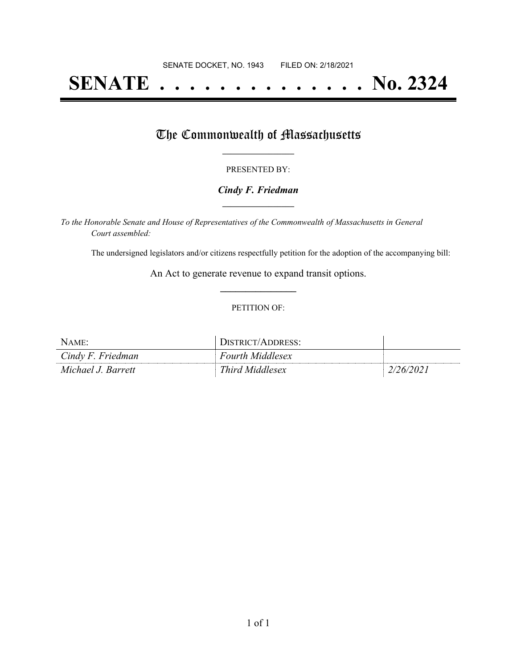# **SENATE . . . . . . . . . . . . . . No. 2324**

# The Commonwealth of Massachusetts

#### PRESENTED BY:

### *Cindy F. Friedman* **\_\_\_\_\_\_\_\_\_\_\_\_\_\_\_\_\_**

*To the Honorable Senate and House of Representatives of the Commonwealth of Massachusetts in General Court assembled:*

The undersigned legislators and/or citizens respectfully petition for the adoption of the accompanying bill:

An Act to generate revenue to expand transit options. **\_\_\_\_\_\_\_\_\_\_\_\_\_\_\_**

#### PETITION OF:

| NAME:              | DISTRICT/ADDRESS:       |           |
|--------------------|-------------------------|-----------|
| Cindy F. Friedman  | <b>Fourth Middlesex</b> |           |
| Michael J. Barrett | Third Middlesex         | 2/26/2021 |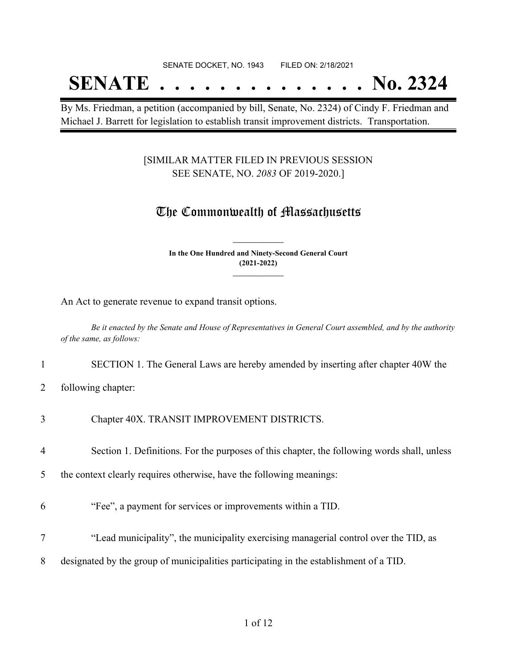### SENATE DOCKET, NO. 1943 FILED ON: 2/18/2021

# **SENATE . . . . . . . . . . . . . . No. 2324**

By Ms. Friedman, a petition (accompanied by bill, Senate, No. 2324) of Cindy F. Friedman and Michael J. Barrett for legislation to establish transit improvement districts. Transportation.

## [SIMILAR MATTER FILED IN PREVIOUS SESSION SEE SENATE, NO. *2083* OF 2019-2020.]

## The Commonwealth of Massachusetts

**In the One Hundred and Ninety-Second General Court (2021-2022) \_\_\_\_\_\_\_\_\_\_\_\_\_\_\_**

**\_\_\_\_\_\_\_\_\_\_\_\_\_\_\_**

An Act to generate revenue to expand transit options.

Be it enacted by the Senate and House of Representatives in General Court assembled, and by the authority *of the same, as follows:*

1 SECTION 1. The General Laws are hereby amended by inserting after chapter 40W the

2 following chapter:

- 4 Section 1. Definitions. For the purposes of this chapter, the following words shall, unless
- 5 the context clearly requires otherwise, have the following meanings:
- 6 "Fee", a payment for services or improvements within a TID.
- 7 "Lead municipality", the municipality exercising managerial control over the TID, as
- 8 designated by the group of municipalities participating in the establishment of a TID.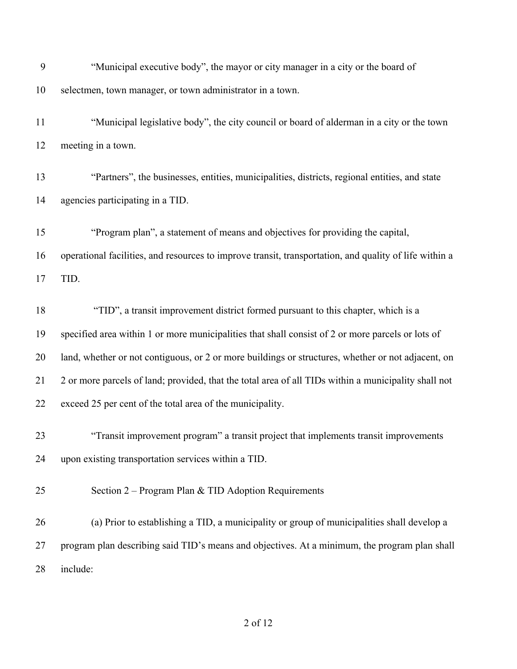| 9  | "Municipal executive body", the mayor or city manager in a city or the board of                        |
|----|--------------------------------------------------------------------------------------------------------|
| 10 | selectmen, town manager, or town administrator in a town.                                              |
| 11 | "Municipal legislative body", the city council or board of alderman in a city or the town              |
| 12 | meeting in a town.                                                                                     |
| 13 | "Partners", the businesses, entities, municipalities, districts, regional entities, and state          |
| 14 | agencies participating in a TID.                                                                       |
| 15 | "Program plan", a statement of means and objectives for providing the capital,                         |
| 16 | operational facilities, and resources to improve transit, transportation, and quality of life within a |
| 17 | TID.                                                                                                   |
| 18 | "TID", a transit improvement district formed pursuant to this chapter, which is a                      |
| 19 | specified area within 1 or more municipalities that shall consist of 2 or more parcels or lots of      |
| 20 | land, whether or not contiguous, or 2 or more buildings or structures, whether or not adjacent, on     |
| 21 | 2 or more parcels of land; provided, that the total area of all TIDs within a municipality shall not   |
| 22 | exceed 25 per cent of the total area of the municipality.                                              |
| 23 | "Transit improvement program" a transit project that implements transit improvements                   |
| 24 | upon existing transportation services within a TID.                                                    |
| 25 | Section $2$ – Program Plan & TID Adoption Requirements                                                 |
| 26 | (a) Prior to establishing a TID, a municipality or group of municipalities shall develop a             |
| 27 | program plan describing said TID's means and objectives. At a minimum, the program plan shall          |
| 28 | include:                                                                                               |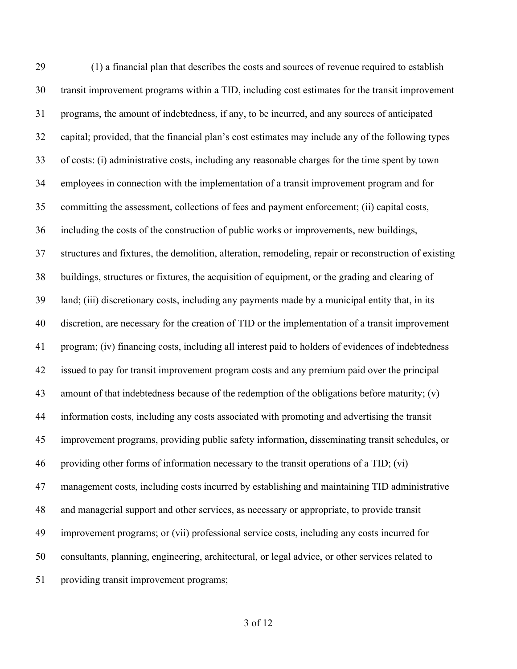(1) a financial plan that describes the costs and sources of revenue required to establish transit improvement programs within a TID, including cost estimates for the transit improvement programs, the amount of indebtedness, if any, to be incurred, and any sources of anticipated capital; provided, that the financial plan's cost estimates may include any of the following types of costs: (i) administrative costs, including any reasonable charges for the time spent by town employees in connection with the implementation of a transit improvement program and for committing the assessment, collections of fees and payment enforcement; (ii) capital costs, including the costs of the construction of public works or improvements, new buildings, structures and fixtures, the demolition, alteration, remodeling, repair or reconstruction of existing buildings, structures or fixtures, the acquisition of equipment, or the grading and clearing of land; (iii) discretionary costs, including any payments made by a municipal entity that, in its discretion, are necessary for the creation of TID or the implementation of a transit improvement program; (iv) financing costs, including all interest paid to holders of evidences of indebtedness issued to pay for transit improvement program costs and any premium paid over the principal amount of that indebtedness because of the redemption of the obligations before maturity; (v) information costs, including any costs associated with promoting and advertising the transit improvement programs, providing public safety information, disseminating transit schedules, or providing other forms of information necessary to the transit operations of a TID; (vi) management costs, including costs incurred by establishing and maintaining TID administrative and managerial support and other services, as necessary or appropriate, to provide transit improvement programs; or (vii) professional service costs, including any costs incurred for consultants, planning, engineering, architectural, or legal advice, or other services related to providing transit improvement programs;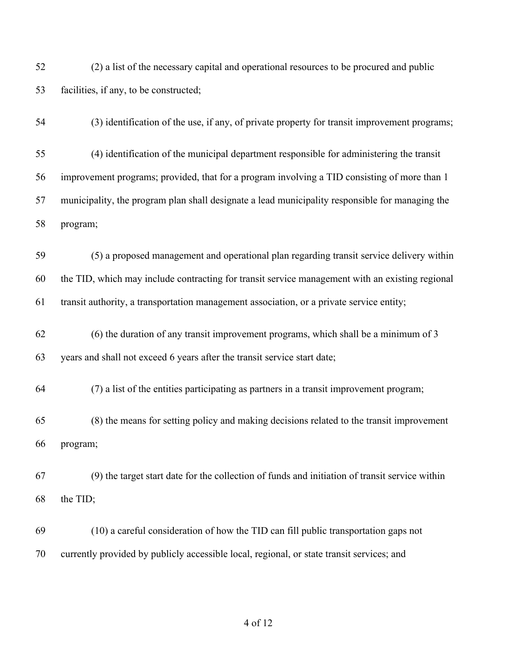- (2) a list of the necessary capital and operational resources to be procured and public facilities, if any, to be constructed;
- (3) identification of the use, if any, of private property for transit improvement programs;
- (4) identification of the municipal department responsible for administering the transit improvement programs; provided, that for a program involving a TID consisting of more than 1 municipality, the program plan shall designate a lead municipality responsible for managing the program;
- (5) a proposed management and operational plan regarding transit service delivery within the TID, which may include contracting for transit service management with an existing regional transit authority, a transportation management association, or a private service entity;
- (6) the duration of any transit improvement programs, which shall be a minimum of 3 years and shall not exceed 6 years after the transit service start date;
- (7) a list of the entities participating as partners in a transit improvement program;
- (8) the means for setting policy and making decisions related to the transit improvement program;
- (9) the target start date for the collection of funds and initiation of transit service within the TID;
- (10) a careful consideration of how the TID can fill public transportation gaps not currently provided by publicly accessible local, regional, or state transit services; and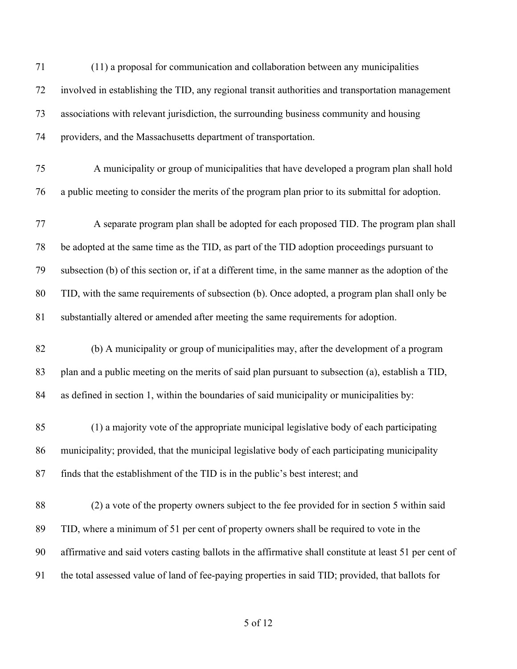| 71 | (11) a proposal for communication and collaboration between any municipalities                          |
|----|---------------------------------------------------------------------------------------------------------|
| 72 | involved in establishing the TID, any regional transit authorities and transportation management        |
| 73 | associations with relevant jurisdiction, the surrounding business community and housing                 |
| 74 | providers, and the Massachusetts department of transportation.                                          |
| 75 | A municipality or group of municipalities that have developed a program plan shall hold                 |
| 76 | a public meeting to consider the merits of the program plan prior to its submittal for adoption.        |
| 77 | A separate program plan shall be adopted for each proposed TID. The program plan shall                  |
| 78 | be adopted at the same time as the TID, as part of the TID adoption proceedings pursuant to             |
| 79 | subsection (b) of this section or, if at a different time, in the same manner as the adoption of the    |
| 80 | TID, with the same requirements of subsection (b). Once adopted, a program plan shall only be           |
| 81 | substantially altered or amended after meeting the same requirements for adoption.                      |
| 82 | (b) A municipality or group of municipalities may, after the development of a program                   |
| 83 | plan and a public meeting on the merits of said plan pursuant to subsection (a), establish a TID,       |
| 84 | as defined in section 1, within the boundaries of said municipality or municipalities by:               |
| 85 | (1) a majority vote of the appropriate municipal legislative body of each participating                 |
| 86 | municipality; provided, that the municipal legislative body of each participating municipality          |
| 87 | finds that the establishment of the TID is in the public's best interest; and                           |
| 88 | (2) a vote of the property owners subject to the fee provided for in section 5 within said              |
| 89 | TID, where a minimum of 51 per cent of property owners shall be required to vote in the                 |
| 90 | affirmative and said voters casting ballots in the affirmative shall constitute at least 51 per cent of |
| 91 | the total assessed value of land of fee-paying properties in said TID; provided, that ballots for       |
|    |                                                                                                         |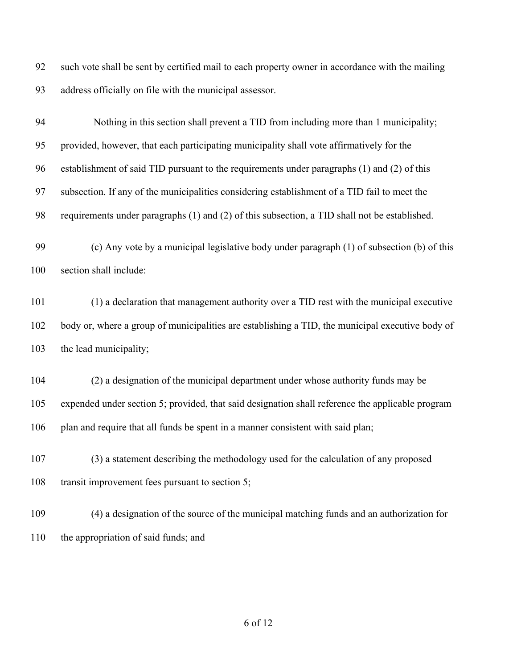such vote shall be sent by certified mail to each property owner in accordance with the mailing address officially on file with the municipal assessor.

 Nothing in this section shall prevent a TID from including more than 1 municipality; provided, however, that each participating municipality shall vote affirmatively for the establishment of said TID pursuant to the requirements under paragraphs (1) and (2) of this subsection. If any of the municipalities considering establishment of a TID fail to meet the requirements under paragraphs (1) and (2) of this subsection, a TID shall not be established.

 (c) Any vote by a municipal legislative body under paragraph (1) of subsection (b) of this section shall include:

 (1) a declaration that management authority over a TID rest with the municipal executive body or, where a group of municipalities are establishing a TID, the municipal executive body of the lead municipality;

 (2) a designation of the municipal department under whose authority funds may be expended under section 5; provided, that said designation shall reference the applicable program plan and require that all funds be spent in a manner consistent with said plan;

 (3) a statement describing the methodology used for the calculation of any proposed transit improvement fees pursuant to section 5;

 (4) a designation of the source of the municipal matching funds and an authorization for the appropriation of said funds; and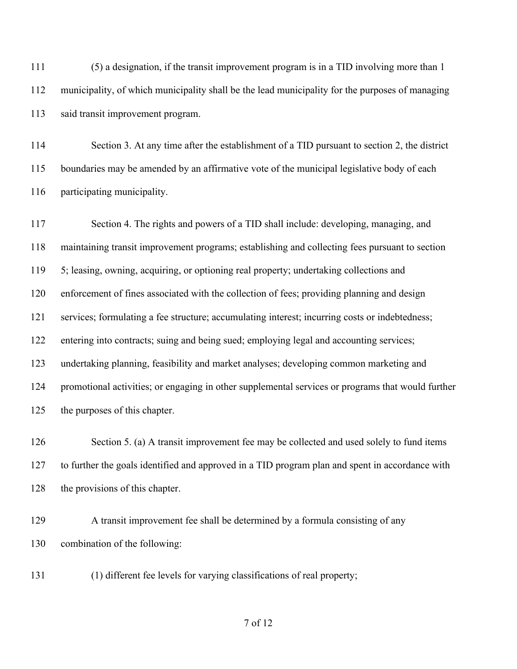(5) a designation, if the transit improvement program is in a TID involving more than 1 municipality, of which municipality shall be the lead municipality for the purposes of managing said transit improvement program.

 Section 3. At any time after the establishment of a TID pursuant to section 2, the district boundaries may be amended by an affirmative vote of the municipal legislative body of each participating municipality.

 Section 4. The rights and powers of a TID shall include: developing, managing, and maintaining transit improvement programs; establishing and collecting fees pursuant to section 5; leasing, owning, acquiring, or optioning real property; undertaking collections and enforcement of fines associated with the collection of fees; providing planning and design services; formulating a fee structure; accumulating interest; incurring costs or indebtedness; entering into contracts; suing and being sued; employing legal and accounting services; undertaking planning, feasibility and market analyses; developing common marketing and promotional activities; or engaging in other supplemental services or programs that would further the purposes of this chapter.

126 Section 5. (a) A transit improvement fee may be collected and used solely to fund items to further the goals identified and approved in a TID program plan and spent in accordance with 128 the provisions of this chapter.

 A transit improvement fee shall be determined by a formula consisting of any combination of the following:

(1) different fee levels for varying classifications of real property;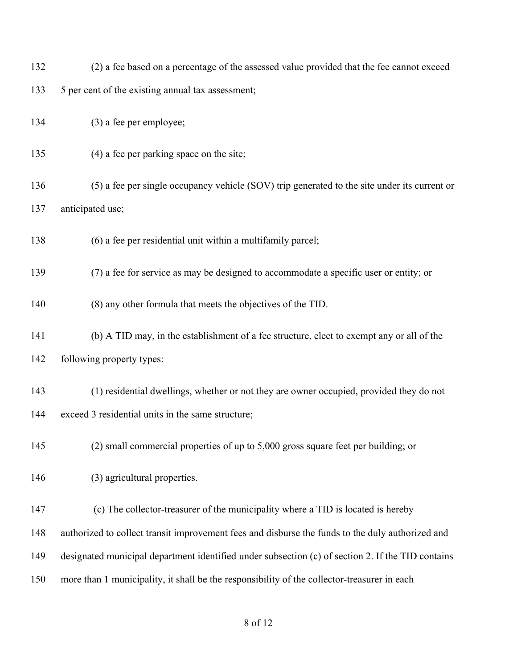- (2) a fee based on a percentage of the assessed value provided that the fee cannot exceed
- 5 per cent of the existing annual tax assessment;
- (3) a fee per employee;
- (4) a fee per parking space on the site;
- (5) a fee per single occupancy vehicle (SOV) trip generated to the site under its current or anticipated use;
- (6) a fee per residential unit within a multifamily parcel;
- (7) a fee for service as may be designed to accommodate a specific user or entity; or
- (8) any other formula that meets the objectives of the TID.
- (b) A TID may, in the establishment of a fee structure, elect to exempt any or all of the following property types:
- (1) residential dwellings, whether or not they are owner occupied, provided they do not exceed 3 residential units in the same structure;
- (2) small commercial properties of up to 5,000 gross square feet per building; or
- (3) agricultural properties.
- (c) The collector-treasurer of the municipality where a TID is located is hereby authorized to collect transit improvement fees and disburse the funds to the duly authorized and designated municipal department identified under subsection (c) of section 2. If the TID contains more than 1 municipality, it shall be the responsibility of the collector-treasurer in each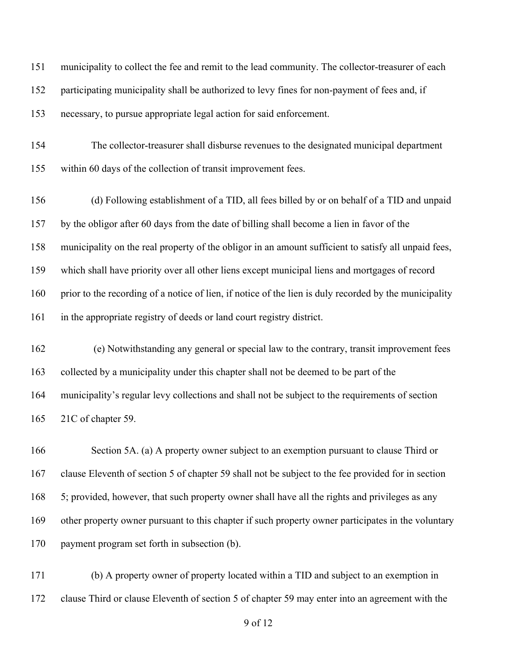municipality to collect the fee and remit to the lead community. The collector-treasurer of each participating municipality shall be authorized to levy fines for non-payment of fees and, if necessary, to pursue appropriate legal action for said enforcement.

 The collector-treasurer shall disburse revenues to the designated municipal department within 60 days of the collection of transit improvement fees.

 (d) Following establishment of a TID, all fees billed by or on behalf of a TID and unpaid by the obligor after 60 days from the date of billing shall become a lien in favor of the municipality on the real property of the obligor in an amount sufficient to satisfy all unpaid fees, which shall have priority over all other liens except municipal liens and mortgages of record prior to the recording of a notice of lien, if notice of the lien is duly recorded by the municipality in the appropriate registry of deeds or land court registry district.

 (e) Notwithstanding any general or special law to the contrary, transit improvement fees collected by a municipality under this chapter shall not be deemed to be part of the municipality's regular levy collections and shall not be subject to the requirements of section 21C of chapter 59.

 Section 5A. (a) A property owner subject to an exemption pursuant to clause Third or clause Eleventh of section 5 of chapter 59 shall not be subject to the fee provided for in section 5; provided, however, that such property owner shall have all the rights and privileges as any other property owner pursuant to this chapter if such property owner participates in the voluntary payment program set forth in subsection (b).

 (b) A property owner of property located within a TID and subject to an exemption in clause Third or clause Eleventh of section 5 of chapter 59 may enter into an agreement with the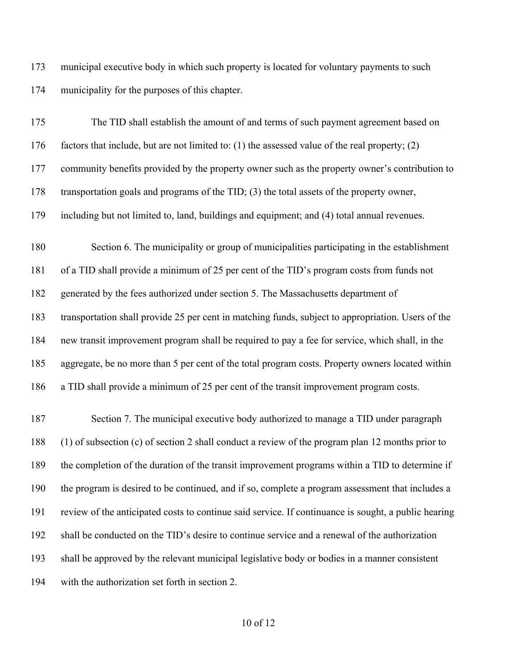municipal executive body in which such property is located for voluntary payments to such municipality for the purposes of this chapter.

| 175 | The TID shall establish the amount of and terms of such payment agreement based on                   |
|-----|------------------------------------------------------------------------------------------------------|
| 176 | factors that include, but are not limited to: $(1)$ the assessed value of the real property; $(2)$   |
| 177 | community benefits provided by the property owner such as the property owner's contribution to       |
| 178 | transportation goals and programs of the TID; (3) the total assets of the property owner,            |
| 179 | including but not limited to, land, buildings and equipment; and (4) total annual revenues.          |
| 180 | Section 6. The municipality or group of municipalities participating in the establishment            |
| 181 | of a TID shall provide a minimum of 25 per cent of the TID's program costs from funds not            |
| 182 | generated by the fees authorized under section 5. The Massachusetts department of                    |
| 183 | transportation shall provide 25 per cent in matching funds, subject to appropriation. Users of the   |
| 184 | new transit improvement program shall be required to pay a fee for service, which shall, in the      |
| 185 | aggregate, be no more than 5 per cent of the total program costs. Property owners located within     |
| 186 | a TID shall provide a minimum of 25 per cent of the transit improvement program costs.               |
| 187 | Section 7. The municipal executive body authorized to manage a TID under paragraph                   |
| 188 | (1) of subsection (c) of section 2 shall conduct a review of the program plan 12 months prior to     |
| 189 | the completion of the duration of the transit improvement programs within a TID to determine if      |
| 190 | the program is desired to be continued, and if so, complete a program assessment that includes a     |
| 191 | review of the anticipated costs to continue said service. If continuance is sought, a public hearing |
| 192 | shall be conducted on the TID's desire to continue service and a renewal of the authorization        |
| 193 | shall be approved by the relevant municipal legislative body or bodies in a manner consistent        |
| 194 | with the authorization set forth in section 2.                                                       |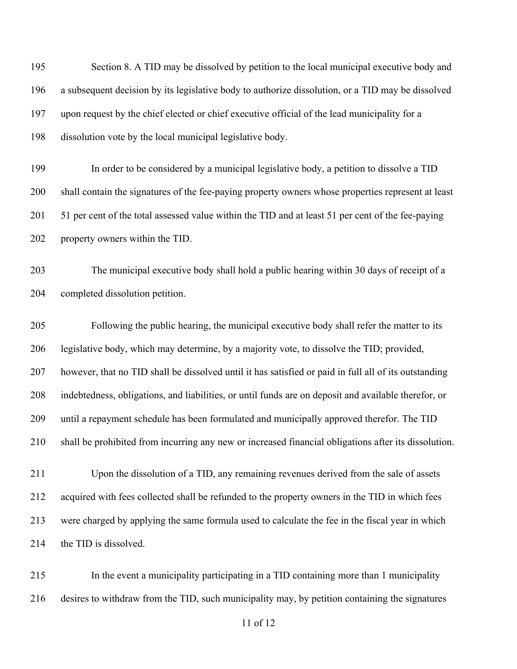195 Section 8. A TID may be dissolved by petition to the local municipal executive body and a subsequent decision by its legislative body to authorize dissolution, or a TID may be dissolved upon request by the chief elected or chief executive official of the lead municipality for a dissolution vote by the local municipal legislative body.

 In order to be considered by a municipal legislative body, a petition to dissolve a TID shall contain the signatures of the fee-paying property owners whose properties represent at least 51 per cent of the total assessed value within the TID and at least 51 per cent of the fee-paying property owners within the TID.

 The municipal executive body shall hold a public hearing within 30 days of receipt of a completed dissolution petition.

 Following the public hearing, the municipal executive body shall refer the matter to its legislative body, which may determine, by a majority vote, to dissolve the TID; provided, however, that no TID shall be dissolved until it has satisfied or paid in full all of its outstanding indebtedness, obligations, and liabilities, or until funds are on deposit and available therefor, or until a repayment schedule has been formulated and municipally approved therefor. The TID shall be prohibited from incurring any new or increased financial obligations after its dissolution.

 Upon the dissolution of a TID, any remaining revenues derived from the sale of assets acquired with fees collected shall be refunded to the property owners in the TID in which fees were charged by applying the same formula used to calculate the fee in the fiscal year in which 214 the TID is dissolved.

 In the event a municipality participating in a TID containing more than 1 municipality desires to withdraw from the TID, such municipality may, by petition containing the signatures